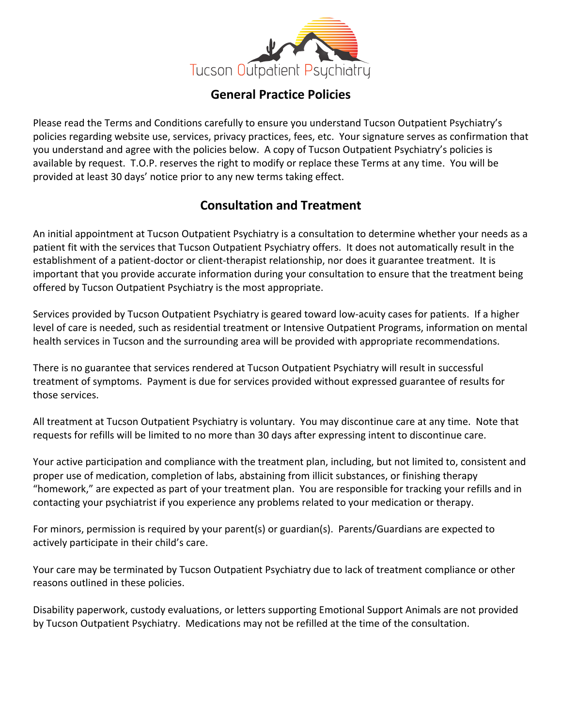

#### **General Practice Policies**

Please read the Terms and Conditions carefully to ensure you understand Tucson Outpatient Psychiatry's policies regarding website use, services, privacy practices, fees, etc. Your signature serves as confirmation that you understand and agree with the policies below. A copy of Tucson Outpatient Psychiatry's policies is available by request. T.O.P. reserves the right to modify or replace these Terms at any time. You will be provided at least 30 days' notice prior to any new terms taking effect.

# **Consultation and Treatment**

An initial appointment at Tucson Outpatient Psychiatry is a consultation to determine whether your needs as a patient fit with the services that Tucson Outpatient Psychiatry offers. It does not automatically result in the establishment of a patient-doctor or client-therapist relationship, nor does it guarantee treatment. It is important that you provide accurate information during your consultation to ensure that the treatment being offered by Tucson Outpatient Psychiatry is the most appropriate.

Services provided by Tucson Outpatient Psychiatry is geared toward low-acuity cases for patients. If a higher level of care is needed, such as residential treatment or Intensive Outpatient Programs, information on mental health services in Tucson and the surrounding area will be provided with appropriate recommendations.

There is no guarantee that services rendered at Tucson Outpatient Psychiatry will result in successful treatment of symptoms. Payment is due for services provided without expressed guarantee of results for those services.

All treatment at Tucson Outpatient Psychiatry is voluntary. You may discontinue care at any time. Note that requests for refills will be limited to no more than 30 days after expressing intent to discontinue care.

Your active participation and compliance with the treatment plan, including, but not limited to, consistent and proper use of medication, completion of labs, abstaining from illicit substances, or finishing therapy "homework," are expected as part of your treatment plan. You are responsible for tracking your refills and in contacting your psychiatrist if you experience any problems related to your medication or therapy.

For minors, permission is required by your parent(s) or guardian(s). Parents/Guardians are expected to actively participate in their child's care.

Your care may be terminated by Tucson Outpatient Psychiatry due to lack of treatment compliance or other reasons outlined in these policies.

Disability paperwork, custody evaluations, or letters supporting Emotional Support Animals are not provided by Tucson Outpatient Psychiatry. Medications may not be refilled at the time of the consultation.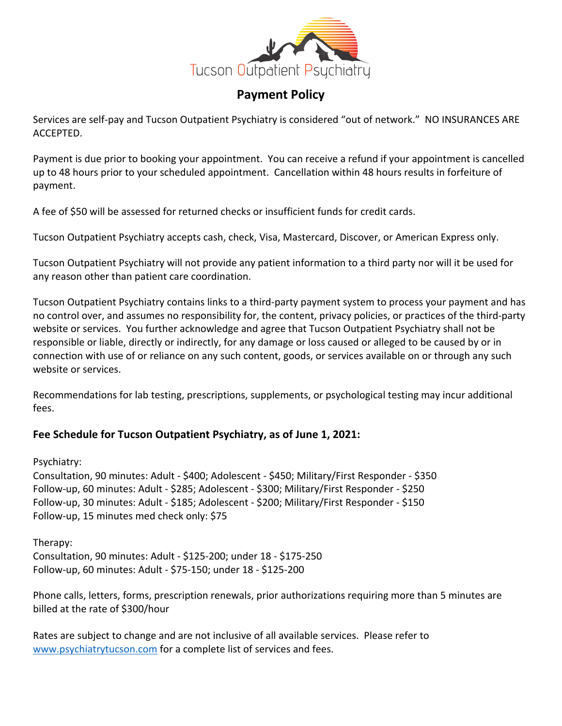

# **Payment Policy**

Services are self-pay and Tucson Outpatient Psychiatry is considered "out of network." NO INSURANCES ARE ACCEPTED.

Payment is due prior to booking your appointment. You can receive a refund if your appointment is cancelled up to 48 hours prior to your scheduled appointment. Cancellation within 48 hours results in forfeiture of payment.

A fee of \$50 will be assessed for returned checks or insufficient funds for credit cards.

Tucson Outpatient Psychiatry accepts cash, check, Visa, Mastercard, Discover, or American Express only.

Tucson Outpatient Psychiatry will not provide any patient information to a third party nor will it be used for any reason other than patient care coordination.

Tucson Outpatient Psychiatry contains links to a third-party payment system to process your payment and has no control over, and assumes no responsibility for, the content, privacy policies, or practices of the third-party website or services. You further acknowledge and agree that Tucson Outpatient Psychiatry shall not be responsible or liable, directly or indirectly, for any damage or loss caused or alleged to be caused by or in connection with use of or reliance on any such content, goods, or services available on or through any such website or services.

Recommendations for lab testing, prescriptions, supplements, or psychological testing may incur additional fees.

#### **Fee Schedule for Tucson Outpatient Psychiatry, as of June 1, 2021:**

Psychiatry:

Consultation, 90 minutes: Adult - \$400; Adolescent - \$450; Military/First Responder - \$350 Follow-up, 60 minutes: Adult - \$285; Adolescent - \$300; Military/First Responder - \$250 Follow-up, 30 minutes: Adult - \$185; Adolescent - \$200; Military/First Responder - \$150 Follow-up, 15 minutes med check only: \$75

Therapy:

Consultation, 90 minutes: Adult - \$125-200; under 18 - \$175-250 Follow-up, 60 minutes: Adult - \$75-150; under 18 - \$125-200

Phone calls, letters, forms, prescription renewals, prior authorizations requiring more than 5 minutes are billed at the rate of \$300/hour

Rates are subject to change and are not inclusive of all available services. Please refer to www.psychiatrytucson.com for a complete list of services and fees.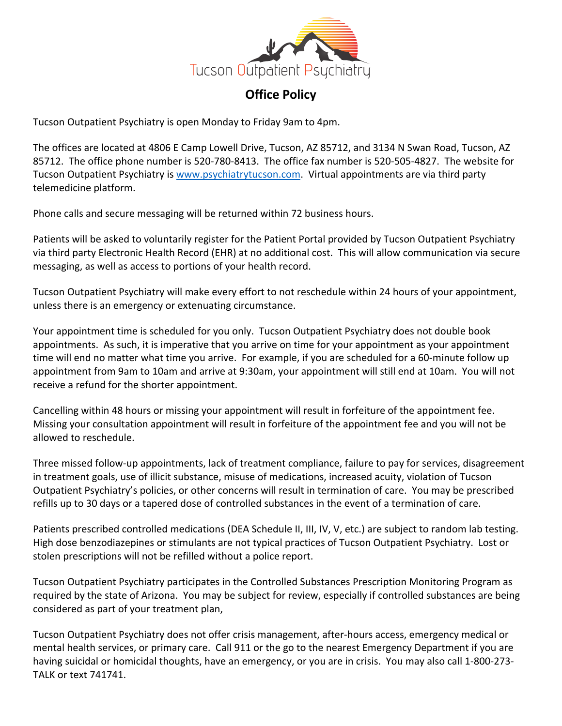

# **Office Policy**

Tucson Outpatient Psychiatry is open Monday to Friday 9am to 4pm.

The offices are located at 4806 E Camp Lowell Drive, Tucson, AZ 85712, and 3134 N Swan Road, Tucson, AZ 85712. The office phone number is 520-780-8413. The office fax number is 520-505-4827. The website for Tucson Outpatient Psychiatry is www.psychiatrytucson.com. Virtual appointments are via third party telemedicine platform.

Phone calls and secure messaging will be returned within 72 business hours.

Patients will be asked to voluntarily register for the Patient Portal provided by Tucson Outpatient Psychiatry via third party Electronic Health Record (EHR) at no additional cost. This will allow communication via secure messaging, as well as access to portions of your health record.

Tucson Outpatient Psychiatry will make every effort to not reschedule within 24 hours of your appointment, unless there is an emergency or extenuating circumstance.

Your appointment time is scheduled for you only. Tucson Outpatient Psychiatry does not double book appointments. As such, it is imperative that you arrive on time for your appointment as your appointment time will end no matter what time you arrive. For example, if you are scheduled for a 60-minute follow up appointment from 9am to 10am and arrive at 9:30am, your appointment will still end at 10am. You will not receive a refund for the shorter appointment.

Cancelling within 48 hours or missing your appointment will result in forfeiture of the appointment fee. Missing your consultation appointment will result in forfeiture of the appointment fee and you will not be allowed to reschedule.

Three missed follow-up appointments, lack of treatment compliance, failure to pay for services, disagreement in treatment goals, use of illicit substance, misuse of medications, increased acuity, violation of Tucson Outpatient Psychiatry's policies, or other concerns will result in termination of care. You may be prescribed refills up to 30 days or a tapered dose of controlled substances in the event of a termination of care.

Patients prescribed controlled medications (DEA Schedule II, III, IV, V, etc.) are subject to random lab testing. High dose benzodiazepines or stimulants are not typical practices of Tucson Outpatient Psychiatry. Lost or stolen prescriptions will not be refilled without a police report.

Tucson Outpatient Psychiatry participates in the Controlled Substances Prescription Monitoring Program as required by the state of Arizona. You may be subject for review, especially if controlled substances are being considered as part of your treatment plan,

Tucson Outpatient Psychiatry does not offer crisis management, after-hours access, emergency medical or mental health services, or primary care. Call 911 or the go to the nearest Emergency Department if you are having suicidal or homicidal thoughts, have an emergency, or you are in crisis. You may also call 1-800-273- TALK or text 741741.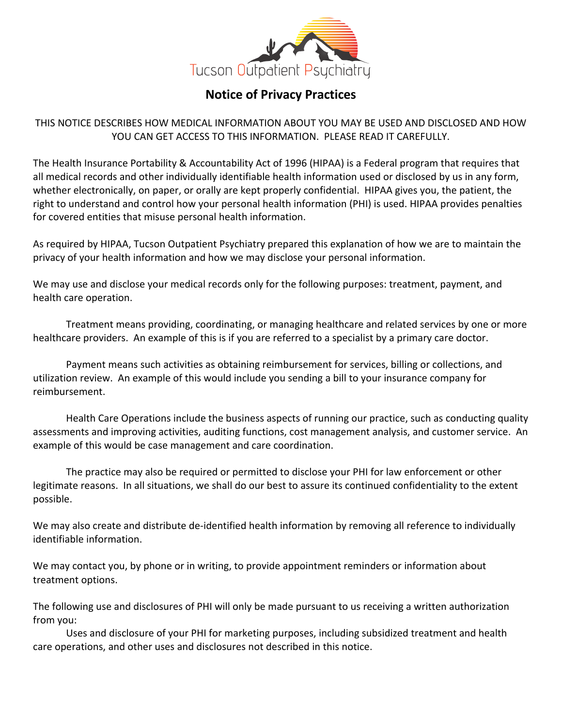

# **Notice of Privacy Practices**

THIS NOTICE DESCRIBES HOW MEDICAL INFORMATION ABOUT YOU MAY BE USED AND DISCLOSED AND HOW YOU CAN GET ACCESS TO THIS INFORMATION. PLEASE READ IT CAREFULLY.

The Health Insurance Portability & Accountability Act of 1996 (HIPAA) is a Federal program that requires that all medical records and other individually identifiable health information used or disclosed by us in any form, whether electronically, on paper, or orally are kept properly confidential. HIPAA gives you, the patient, the right to understand and control how your personal health information (PHI) is used. HIPAA provides penalties for covered entities that misuse personal health information.

As required by HIPAA, Tucson Outpatient Psychiatry prepared this explanation of how we are to maintain the privacy of your health information and how we may disclose your personal information.

We may use and disclose your medical records only for the following purposes: treatment, payment, and health care operation.

Treatment means providing, coordinating, or managing healthcare and related services by one or more healthcare providers. An example of this is if you are referred to a specialist by a primary care doctor.

Payment means such activities as obtaining reimbursement for services, billing or collections, and utilization review. An example of this would include you sending a bill to your insurance company for reimbursement.

Health Care Operations include the business aspects of running our practice, such as conducting quality assessments and improving activities, auditing functions, cost management analysis, and customer service. An example of this would be case management and care coordination.

The practice may also be required or permitted to disclose your PHI for law enforcement or other legitimate reasons. In all situations, we shall do our best to assure its continued confidentiality to the extent possible.

We may also create and distribute de-identified health information by removing all reference to individually identifiable information.

We may contact you, by phone or in writing, to provide appointment reminders or information about treatment options.

The following use and disclosures of PHI will only be made pursuant to us receiving a written authorization from you:

Uses and disclosure of your PHI for marketing purposes, including subsidized treatment and health care operations, and other uses and disclosures not described in this notice.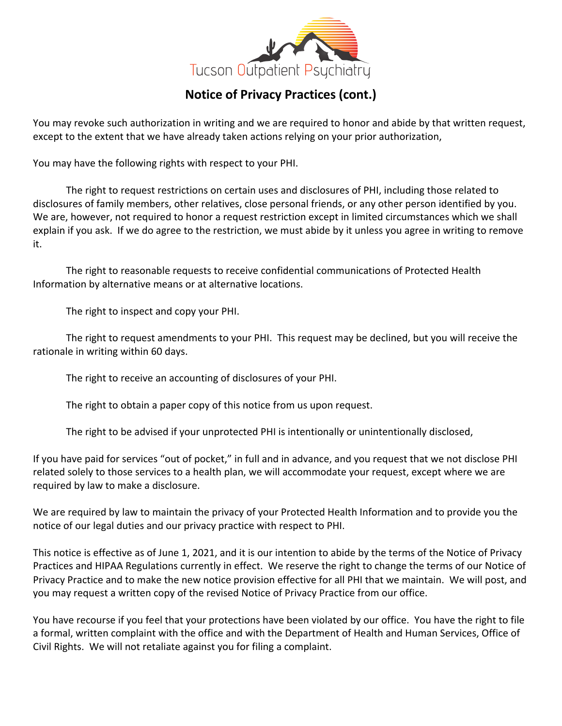

# **Notice of Privacy Practices (cont.)**

You may revoke such authorization in writing and we are required to honor and abide by that written request, except to the extent that we have already taken actions relying on your prior authorization,

You may have the following rights with respect to your PHI.

The right to request restrictions on certain uses and disclosures of PHI, including those related to disclosures of family members, other relatives, close personal friends, or any other person identified by you. We are, however, not required to honor a request restriction except in limited circumstances which we shall explain if you ask. If we do agree to the restriction, we must abide by it unless you agree in writing to remove it.

The right to reasonable requests to receive confidential communications of Protected Health Information by alternative means or at alternative locations.

The right to inspect and copy your PHI.

The right to request amendments to your PHI. This request may be declined, but you will receive the rationale in writing within 60 days.

The right to receive an accounting of disclosures of your PHI.

The right to obtain a paper copy of this notice from us upon request.

The right to be advised if your unprotected PHI is intentionally or unintentionally disclosed,

If you have paid for services "out of pocket," in full and in advance, and you request that we not disclose PHI related solely to those services to a health plan, we will accommodate your request, except where we are required by law to make a disclosure.

We are required by law to maintain the privacy of your Protected Health Information and to provide you the notice of our legal duties and our privacy practice with respect to PHI.

This notice is effective as of June 1, 2021, and it is our intention to abide by the terms of the Notice of Privacy Practices and HIPAA Regulations currently in effect. We reserve the right to change the terms of our Notice of Privacy Practice and to make the new notice provision effective for all PHI that we maintain. We will post, and you may request a written copy of the revised Notice of Privacy Practice from our office.

You have recourse if you feel that your protections have been violated by our office. You have the right to file a formal, written complaint with the office and with the Department of Health and Human Services, Office of Civil Rights. We will not retaliate against you for filing a complaint.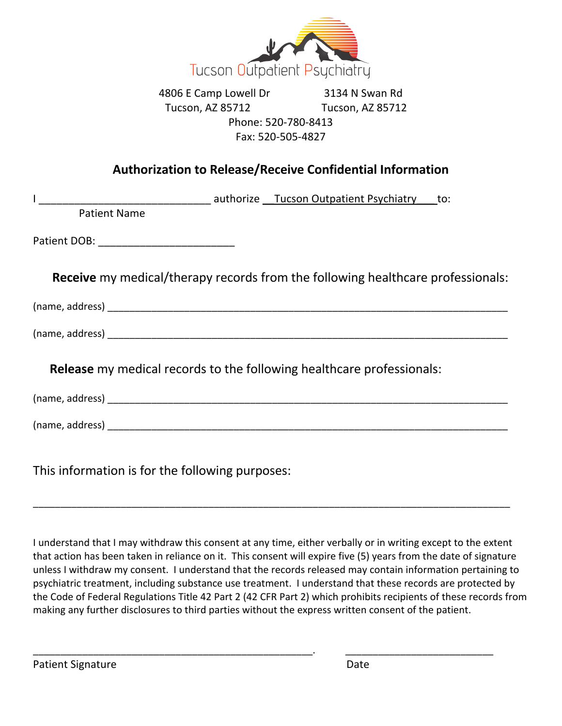

4806 E Camp Lowell Dr 3134 N Swan Rd Tucson, AZ 85712 Tucson, AZ 85712 Phone: 520-780-8413 Fax: 520-505-4827

# **Authorization to Release/Receive Confidential Information**

| <b>Patient Name</b> |                                                                                        |  |
|---------------------|----------------------------------------------------------------------------------------|--|
|                     |                                                                                        |  |
|                     | <b>Receive</b> my medical/therapy records from the following healthcare professionals: |  |
|                     |                                                                                        |  |
|                     |                                                                                        |  |
|                     | <b>Release</b> my medical records to the following healthcare professionals:           |  |
|                     |                                                                                        |  |
|                     |                                                                                        |  |
|                     |                                                                                        |  |

This information is for the following purposes:

I understand that I may withdraw this consent at any time, either verbally or in writing except to the extent that action has been taken in reliance on it. This consent will expire five (5) years from the date of signature unless I withdraw my consent. I understand that the records released may contain information pertaining to psychiatric treatment, including substance use treatment. I understand that these records are protected by the Code of Federal Regulations Title 42 Part 2 (42 CFR Part 2) which prohibits recipients of these records from making any further disclosures to third parties without the express written consent of the patient.

\_\_\_\_\_\_\_\_\_\_\_\_\_\_\_\_\_\_\_\_\_\_\_\_\_\_\_\_\_\_\_\_\_\_\_\_\_\_\_\_\_\_\_\_\_\_\_\_\_\_\_. \_\_\_\_\_\_\_\_\_\_\_\_\_\_\_\_\_\_\_\_\_\_\_\_\_\_\_

\_\_\_\_\_\_\_\_\_\_\_\_\_\_\_\_\_\_\_\_\_\_\_\_\_\_\_\_\_\_\_\_\_\_\_\_\_\_\_\_\_\_\_\_\_\_\_\_\_\_\_\_\_\_\_\_\_\_\_\_\_\_\_\_\_\_\_\_\_\_\_\_\_\_\_\_\_\_\_\_\_\_\_\_\_\_\_